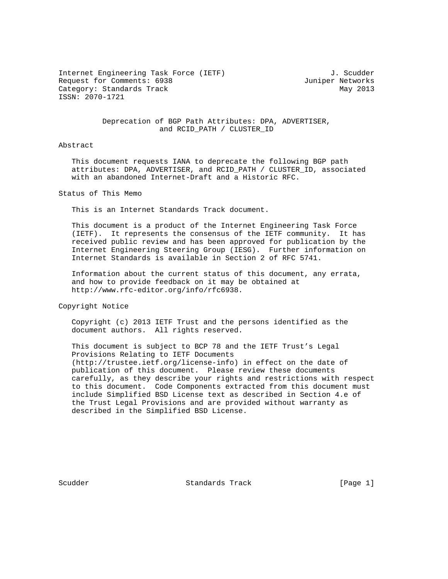Internet Engineering Task Force (IETF) 3. Scudder Request for Comments: 6938 Juniper Networks Category: Standards Track May 2013 ISSN: 2070-1721

## Deprecation of BGP Path Attributes: DPA, ADVERTISER, and RCID\_PATH / CLUSTER\_ID

## Abstract

 This document requests IANA to deprecate the following BGP path attributes: DPA, ADVERTISER, and RCID\_PATH / CLUSTER\_ID, associated with an abandoned Internet-Draft and a Historic RFC.

Status of This Memo

This is an Internet Standards Track document.

 This document is a product of the Internet Engineering Task Force (IETF). It represents the consensus of the IETF community. It has received public review and has been approved for publication by the Internet Engineering Steering Group (IESG). Further information on Internet Standards is available in Section 2 of RFC 5741.

 Information about the current status of this document, any errata, and how to provide feedback on it may be obtained at http://www.rfc-editor.org/info/rfc6938.

Copyright Notice

 Copyright (c) 2013 IETF Trust and the persons identified as the document authors. All rights reserved.

 This document is subject to BCP 78 and the IETF Trust's Legal Provisions Relating to IETF Documents (http://trustee.ietf.org/license-info) in effect on the date of publication of this document. Please review these documents carefully, as they describe your rights and restrictions with respect to this document. Code Components extracted from this document must include Simplified BSD License text as described in Section 4.e of the Trust Legal Provisions and are provided without warranty as described in the Simplified BSD License.

Scudder Standards Track [Page 1]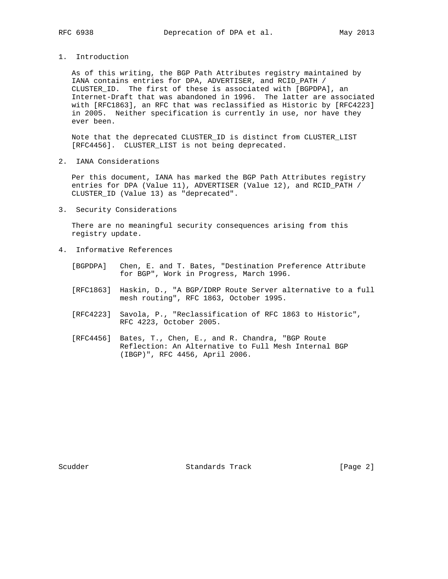1. Introduction

 As of this writing, the BGP Path Attributes registry maintained by IANA contains entries for DPA, ADVERTISER, and RCID\_PATH / CLUSTER\_ID. The first of these is associated with [BGPDPA], an Internet-Draft that was abandoned in 1996. The latter are associated with [RFC1863], an RFC that was reclassified as Historic by [RFC4223] in 2005. Neither specification is currently in use, nor have they ever been.

 Note that the deprecated CLUSTER\_ID is distinct from CLUSTER\_LIST [RFC4456]. CLUSTER\_LIST is not being deprecated.

2. IANA Considerations

 Per this document, IANA has marked the BGP Path Attributes registry entries for DPA (Value 11), ADVERTISER (Value 12), and RCID\_PATH / CLUSTER\_ID (Value 13) as "deprecated".

3. Security Considerations

 There are no meaningful security consequences arising from this registry update.

- 4. Informative References
	- [BGPDPA] Chen, E. and T. Bates, "Destination Preference Attribute for BGP", Work in Progress, March 1996.
	- [RFC1863] Haskin, D., "A BGP/IDRP Route Server alternative to a full mesh routing", RFC 1863, October 1995.
	- [RFC4223] Savola, P., "Reclassification of RFC 1863 to Historic", RFC 4223, October 2005.
	- [RFC4456] Bates, T., Chen, E., and R. Chandra, "BGP Route Reflection: An Alternative to Full Mesh Internal BGP (IBGP)", RFC 4456, April 2006.

Scudder Standards Track [Page 2]